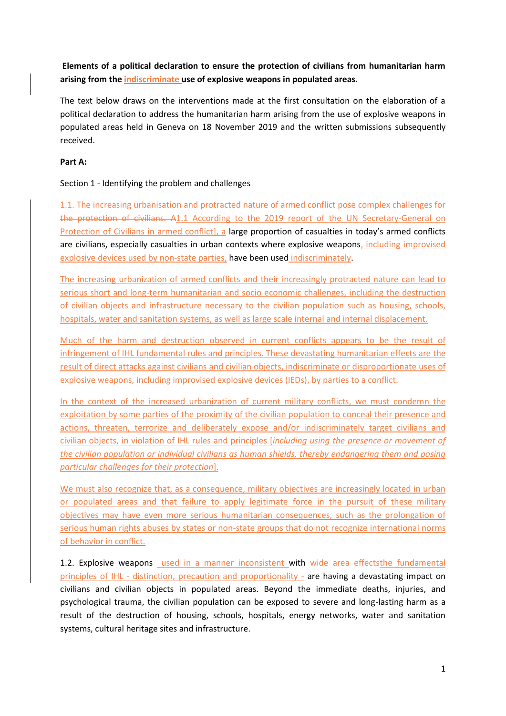**Elements of a political declaration to ensure the protection of civilians from humanitarian harm arising from the indiscriminate use of explosive weapons in populated areas.** 

The text below draws on the interventions made at the first consultation on the elaboration of a political declaration to address the humanitarian harm arising from the use of explosive weapons in populated areas held in Geneva on 18 November 2019 and the written submissions subsequently received.

## **Part A:**

## Section 1 - Identifying the problem and challenges

1.1. The increasing urbanisation and protracted nature of armed conflict pose complex challenges for the protection of civilians. A1.1 According to the 2019 report of the UN Secretary-General on Protection of Civilians in armed conflict], a large proportion of casualties in today's armed conflicts are civilians, especially casualties in urban contexts where explosive weapons, including improvised explosive devices used by non-state parties, have been used indiscriminately.

The increasing urbanization of armed conflicts and their increasingly protracted nature can lead to serious short and long-term humanitarian and socio economic challenges, including the destruction of civilian objects and infrastructure necessary to the civilian population such as housing, schools, hospitals, water and sanitation systems, as well as large scale internal and internal displacement.

Much of the harm and destruction observed in current conflicts appears to be the result of infringement of IHL fundamental rules and principles. These devastating humanitarian effects are the result of direct attacks against civilians and civilian objects, indiscriminate or disproportionate uses of explosive weapons, including improvised explosive devices (IEDs), by parties to a conflict.

In the context of the increased urbanization of current military conflicts, we must condemn the exploitation by some parties of the proximity of the civilian population to conceal their presence and actions, threaten, terrorize and deliberately expose and/or indiscriminately target civilians and civilian objects, in violation of IHL rules and principles [*including using the presence or movement of the civilian population or individual civilians as human shields, thereby endangering them and posing particular challenges for their protection*].

We must also recognize that, as a consequence, military objectives are increasingly located in urban or populated areas and that failure to apply legitimate force in the pursuit of these military objectives may have even more serious humanitarian consequences, such as the prolongation of serious human rights abuses by states or non-state groups that do not recognize international norms of behavior in conflict.

1.2. Explosive weapons- used in a manner inconsistent with wide area effects the fundamental principles of IHL - distinction, precaution and proportionality - are having a devastating impact on civilians and civilian objects in populated areas. Beyond the immediate deaths, injuries, and psychological trauma, the civilian population can be exposed to severe and long-lasting harm as a result of the destruction of housing, schools, hospitals, energy networks, water and sanitation systems, cultural heritage sites and infrastructure.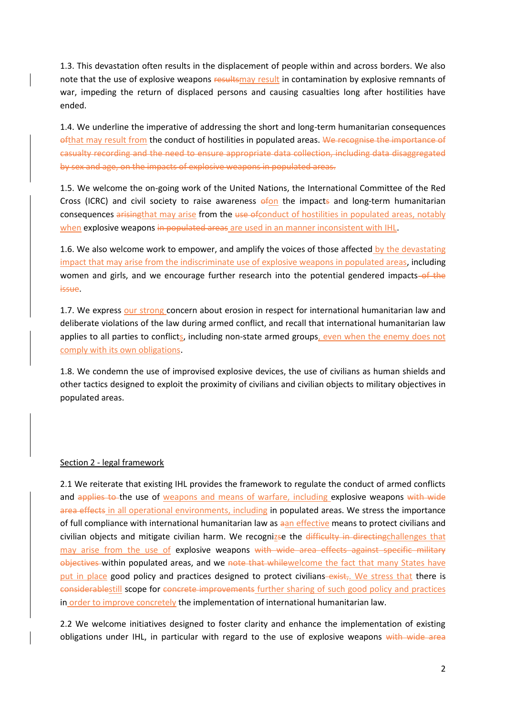1.3. This devastation often results in the displacement of people within and across borders. We also note that the use of explosive weapons resultsmay result in contamination by explosive remnants of war, impeding the return of displaced persons and causing casualties long after hostilities have ended.

1.4. We underline the imperative of addressing the short and long-term humanitarian consequences ofthat may result from the conduct of hostilities in populated areas. We recognise the importance of casualty recording and the need to ensure appropriate data collection, including data disaggregated by sex and age, on the impacts of explosive weapons in populated areas.

1.5. We welcome the on-going work of the United Nations, the International Committee of the Red Cross (ICRC) and civil society to raise awareness  $efon$  the impacts and long-term humanitarian consequences arising that may arise from the use of conduct of hostilities in populated areas, notably when explosive weapons in populated areas are used in an manner inconsistent with IHL.

1.6. We also welcome work to empower, and amplify the voices of those affected by the devastating impact that may arise from the indiscriminate use of explosive weapons in populated areas, including women and girls, and we encourage further research into the potential gendered impacts-of the issue.

1.7. We express our strong concern about erosion in respect for international humanitarian law and deliberate violations of the law during armed conflict, and recall that international humanitarian law applies to all parties to conflicts, including non-state armed groups, even when the enemy does not comply with its own obligations.

1.8. We condemn the use of improvised explosive devices, the use of civilians as human shields and other tactics designed to exploit the proximity of civilians and civilian objects to military objectives in populated areas.

### Section 2 - legal framework

2.1 We reiterate that existing IHL provides the framework to regulate the conduct of armed conflicts and applies to the use of weapons and means of warfare, including explosive weapons with wide area effects in all operational environments, including in populated areas. We stress the importance of full compliance with international humanitarian law as aan effective means to protect civilians and civilian objects and mitigate civilian harm. We recognizse the difficulty in directingchallenges that may arise from the use of explosive weapons with wide area effects against specific military objectives within populated areas, and we note that while we loone the fact that many States have put in place good policy and practices designed to protect civilians–exist,. We stress that there is considerablestill scope for concrete improvements further sharing of such good policy and practices in order to improve concretely the implementation of international humanitarian law.

2.2 We welcome initiatives designed to foster clarity and enhance the implementation of existing obligations under IHL, in particular with regard to the use of explosive weapons with wide area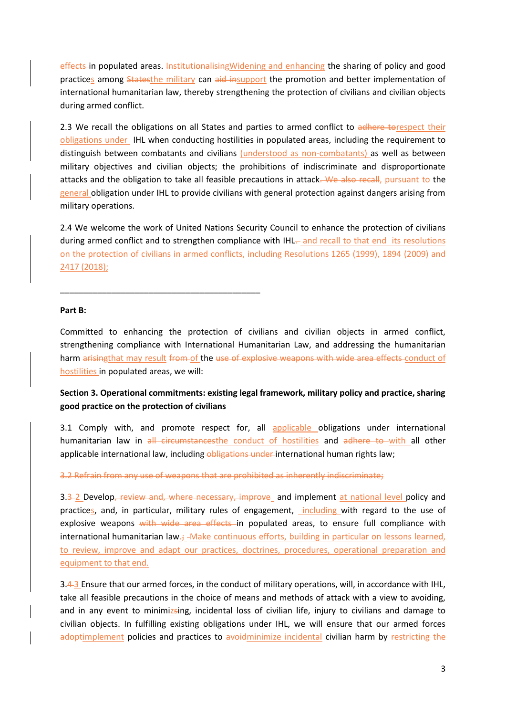effects in populated areas. InstitutionalisingWidening and enhancing the sharing of policy and good practices among Statesthe military can aid insupport the promotion and better implementation of international humanitarian law, thereby strengthening the protection of civilians and civilian objects during armed conflict.

2.3 We recall the obligations on all States and parties to armed conflict to adhere torespect their obligations under IHL when conducting hostilities in populated areas, including the requirement to distinguish between combatants and civilians (understood as non-combatants) as well as between military objectives and civilian objects; the prohibitions of indiscriminate and disproportionate attacks and the obligation to take all feasible precautions in attack. We also recall, pursuant to the general obligation under IHL to provide civilians with general protection against dangers arising from military operations.

2.4 We welcome the work of United Nations Security Council to enhance the protection of civilians during armed conflict and to strengthen compliance with IHL- and recall to that end its resolutions on the protection of civilians in armed conflicts, including Resolutions 1265 (1999), 1894 (2009) and 2417 (2018);

#### **Part B:**

\_\_\_\_\_\_\_\_\_\_\_\_\_\_\_\_\_\_\_\_\_\_\_\_\_\_\_\_\_\_\_\_\_\_\_\_\_\_\_\_\_\_\_

Committed to enhancing the protection of civilians and civilian objects in armed conflict, strengthening compliance with International Humanitarian Law, and addressing the humanitarian harm arisingthat may result from of the use of explosive weapons with wide area effects conduct of hostilities in populated areas, we will:

# **Section 3. Operational commitments: existing legal framework, military policy and practice, sharing good practice on the protection of civilians**

3.1 Comply with, and promote respect for, all applicable obligations under international humanitarian law in all circumstancesthe conduct of hostilities and adhere to with all other applicable international law, including obligations under international human rights law;

3.2 Refrain from any use of weapons that are prohibited as inherently indiscriminate;

3.3-2 Develop, review and, where necessary, improve and implement at national level policy and practices, and, in particular, military rules of engagement, including with regard to the use of explosive weapons with wide area effects in populated areas, to ensure full compliance with international humanitarian law. $\frac{1}{2}$ -Make continuous efforts, building in particular on lessons learned, to review, improve and adapt our practices, doctrines, procedures, operational preparation and equipment to that end.

3.4 3 Ensure that our armed forces, in the conduct of military operations, will, in accordance with IHL, take all feasible precautions in the choice of means and methods of attack with a view to avoiding, and in any event to minimizsing, incidental loss of civilian life, injury to civilians and damage to civilian objects. In fulfilling existing obligations under IHL, we will ensure that our armed forces adoptimplement policies and practices to avoidminimize incidental civilian harm by restricting the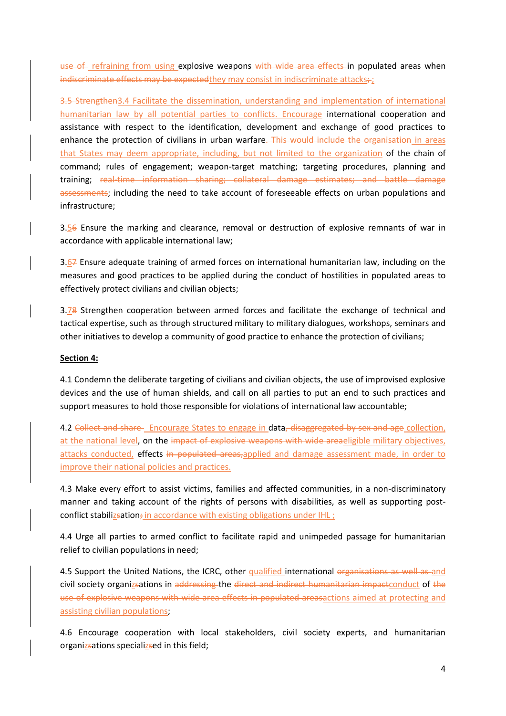use of refraining from using explosive weapons with wide area effects in populated areas when indiscriminate effects may be expected they may consist in indiscriminate attacks;

3.5 Strengthen3.4 Facilitate the dissemination, understanding and implementation of international humanitarian law by all potential parties to conflicts. Encourage international cooperation and assistance with respect to the identification, development and exchange of good practices to enhance the protection of civilians in urban warfare. This would include the organisation in areas that States may deem appropriate, including, but not limited to the organization of the chain of command; rules of engagement; weapon-target matching; targeting procedures, planning and training; real-time information sharing; collateral damage estimates; and battle damage assessments; including the need to take account of foreseeable effects on urban populations and infrastructure;

3.56 Ensure the marking and clearance, removal or destruction of explosive remnants of war in accordance with applicable international law;

3.67 Ensure adequate training of armed forces on international humanitarian law, including on the measures and good practices to be applied during the conduct of hostilities in populated areas to effectively protect civilians and civilian objects;

3.78 Strengthen cooperation between armed forces and facilitate the exchange of technical and tactical expertise, such as through structured military to military dialogues, workshops, seminars and other initiatives to develop a community of good practice to enhance the protection of civilians;

## **Section 4:**

4.1 Condemn the deliberate targeting of civilians and civilian objects, the use of improvised explosive devices and the use of human shields, and call on all parties to put an end to such practices and support measures to hold those responsible for violations of international law accountable;

4.2 Collect and share Encourage States to engage in data, disaggregated by sex and age collection, at the national level, on the impact of explosive weapons with wide areaeligible military objectives, attacks conducted, effects in populated areas, applied and damage assessment made, in order to improve their national policies and practices.

4.3 Make every effort to assist victims, families and affected communities, in a non-discriminatory manner and taking account of the rights of persons with disabilities, as well as supporting postconflict stabilizsation; in accordance with existing obligations under IHL;

4.4 Urge all parties to armed conflict to facilitate rapid and unimpeded passage for humanitarian relief to civilian populations in need;

4.5 Support the United Nations, the ICRC, other qualified international organisations as well as and civil society organizsations in addressing the direct and indirect humanitarian impactconduct of the use of explosive weapons with wide area effects in populated areasactions aimed at protecting and assisting civilian populations;

4.6 Encourage cooperation with local stakeholders, civil society experts, and humanitarian organizsations specializsed in this field;